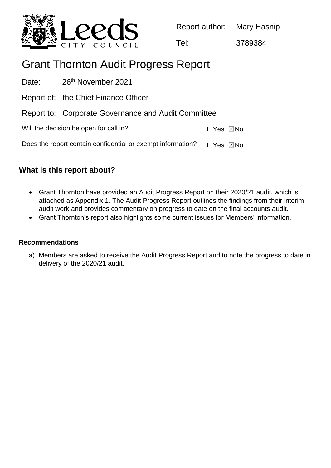

Report author: Mary Hasnip

Tel: 3789384

# Grant Thornton Audit Progress Report

| Date: 26 <sup>th</sup> November 2021                        |                           |
|-------------------------------------------------------------|---------------------------|
| Report of: the Chief Finance Officer                        |                           |
| Report to: Corporate Governance and Audit Committee         |                           |
| Will the decision be open for call in?                      | $\Box$ Yes $\boxtimes$ No |
| Does the report contain confidential or exempt information? | $\Box$ Yes $\boxtimes$ No |

## **What is this report about?**

- Grant Thornton have provided an Audit Progress Report on their 2020/21 audit, which is attached as Appendix 1. The Audit Progress Report outlines the findings from their interim audit work and provides commentary on progress to date on the final accounts audit.
- Grant Thornton's report also highlights some current issues for Members' information.

### **Recommendations**

a) Members are asked to receive the Audit Progress Report and to note the progress to date in delivery of the 2020/21 audit.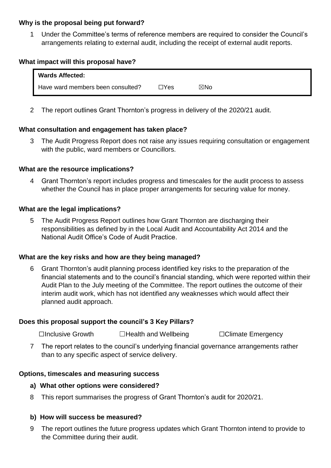#### **Why is the proposal being put forward?**

1 Under the Committee's terms of reference members are required to consider the Council's arrangements relating to external audit, including the receipt of external audit reports.

#### **What impact will this proposal have?**

| <b>Wards Affected:</b>            |            |     |  |
|-----------------------------------|------------|-----|--|
| Have ward members been consulted? | $\Box$ Yes | ⊠No |  |

2 The report outlines Grant Thornton's progress in delivery of the 2020/21 audit.

#### **What consultation and engagement has taken place?**

3 The Audit Progress Report does not raise any issues requiring consultation or engagement with the public, ward members or Councillors.

#### **What are the resource implications?**

4 Grant Thornton's report includes progress and timescales for the audit process to assess whether the Council has in place proper arrangements for securing value for money.

#### **What are the legal implications?**

5 The Audit Progress Report outlines how Grant Thornton are discharging their responsibilities as defined by in the Local Audit and Accountability Act 2014 and the National Audit Office's Code of Audit Practice.

#### **What are the key risks and how are they being managed?**

6 Grant Thornton's audit planning process identified key risks to the preparation of the financial statements and to the council's financial standing, which were reported within their Audit Plan to the July meeting of the Committee. The report outlines the outcome of their interim audit work, which has not identified any weaknesses which would affect their planned audit approach.

#### **Does this proposal support the council's 3 Key Pillars?**

☐Inclusive Growth ☐Health and Wellbeing ☐Climate Emergency

7 The report relates to the council's underlying financial governance arrangements rather than to any specific aspect of service delivery.

#### **Options, timescales and measuring success**

#### **a) What other options were considered?**

8 This report summarises the progress of Grant Thornton's audit for 2020/21.

### **b) How will success be measured?**

9 The report outlines the future progress updates which Grant Thornton intend to provide to the Committee during their audit.